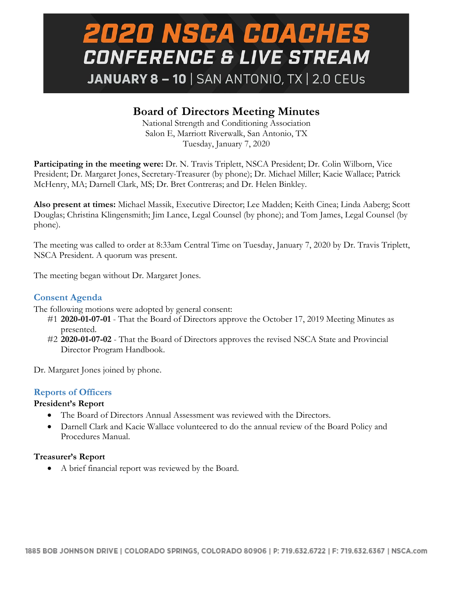## **2020 NSCA COACHES CONFERENCE & LIVE STREAM** JANUARY 8 - 10 | SAN ANTONIO, TX | 2.0 CEUs

### **Board of Directors Meeting Minutes**

National Strength and Conditioning Association Salon E, Marriott Riverwalk, San Antonio, TX Tuesday, January 7, 2020

**Participating in the meeting were:** Dr. N. Travis Triplett, NSCA President; Dr. Colin Wilborn, Vice President; Dr. Margaret Jones, Secretary-Treasurer (by phone); Dr. Michael Miller; Kacie Wallace; Patrick McHenry, MA; Darnell Clark, MS; Dr. Bret Contreras; and Dr. Helen Binkley.

**Also present at times:** Michael Massik, Executive Director; Lee Madden; Keith Cinea; Linda Aaberg; Scott Douglas; Christina Klingensmith; Jim Lance, Legal Counsel (by phone); and Tom James, Legal Counsel (by phone).

The meeting was called to order at 8:33am Central Time on Tuesday, January 7, 2020 by Dr. Travis Triplett, NSCA President. A quorum was present.

The meeting began without Dr. Margaret Jones.

### **Consent Agenda**

The following motions were adopted by general consent:

- #1 **2020-01-07-01** That the Board of Directors approve the October 17, 2019 Meeting Minutes as presented.
- #2 **2020-01-07-02** That the Board of Directors approves the revised NSCA State and Provincial Director Program Handbook.

Dr. Margaret Jones joined by phone.

### **Reports of Officers**

### **President's Report**

- The Board of Directors Annual Assessment was reviewed with the Directors.
- Darnell Clark and Kacie Wallace volunteered to do the annual review of the Board Policy and Procedures Manual.

### **Treasurer's Report**

• A brief financial report was reviewed by the Board.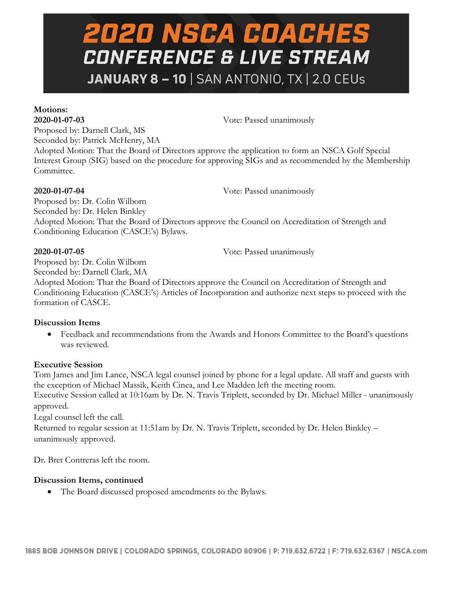# **2020 NSCA COACHES CONFERENCE & LIVE STREAM JANUARY 8 - 10** | SAN ANTONIO, TX | 2.0 CEUs

## **Motions:**

**2020-01-07-03** Vote: Passed unanimously

Proposed by: Darnell Clark, MS Seconded by: Patrick McHenry, MA

Proposed by: Dr. Colin Wilborn

Adopted Motion: That the Board of Directors approve the application to form an NSCA Golf Special Interest Group (SIG) based on the procedure for approving SIGs and as recommended by the Membership Committee.

**2020-01-07-04** Vote: Passed unanimously

Proposed by: Dr. Colin Wilborn Seconded by: Dr. Helen Binkley Adopted Motion: That the Board of Directors approve the Council on Accreditation of Strength and Conditioning Education (CASCE's) Bylaws.

**2020-01-07-05** Vote: Passed unanimously

Seconded by: Darnell Clark, MA Adopted Motion: That the Board of Directors approve the Council on Accreditation of Strength and Conditioning Education (CASCE's) Articles of Incorporation and authorize next steps to proceed with the formation of CASCE.

### **Discussion Items**

• Feedback and recommendations from the Awards and Honors Committee to the Board's questions was reviewed.

### **Executive Session**

Tom James and Jim Lance, NSCA legal counsel joined by phone for a legal update. All staff and guests with the exception of Michael Massik, Keith Cinea, and Lee Madden left the meeting room. Executive Session called at 10:16am by Dr. N. Travis Triplett, seconded by Dr. Michael Miller - unanimously approved.

Legal counsel left the call.

Returned to regular session at 11:51am by Dr. N. Travis Triplett, seconded by Dr. Helen Binkley – unanimously approved.

Dr. Bret Contreras left the room.

### **Discussion Items, continued**

• The Board discussed proposed amendments to the Bylaws.